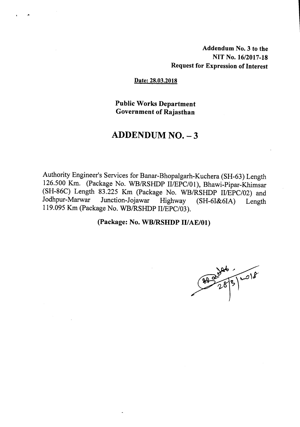Addendum No.3 to the NIT No. 16/2017-18 Request for Expression of Interest

#### Date: 28.03.2018

\_-

Public Works Department Government of Rajasthan

#### ADDENDUM NO. - 3

Authority Engineer's Services for Banar-Bhopalgarh-Kuchera (SH-63) Length 126.500 Km. (Package No. WBIRSHDP *IIIEPCI01),* Bhawi-Pipar-Khimsar (SH-86C) Length 83.225 Km (Package No. WB/RSHDP *II/EPC/02*) and Jodhpur-Marwar Junction-Joiawar Highway (SH-6L&6LA) I ength Junction-Jojawar Highway (SH-6I&6IA) Length 119.095Km (Package No. WBIRSHDP *IIIEPCI03).*

#### (Package: No. WB/RSHDP II/AE/01)

878991018